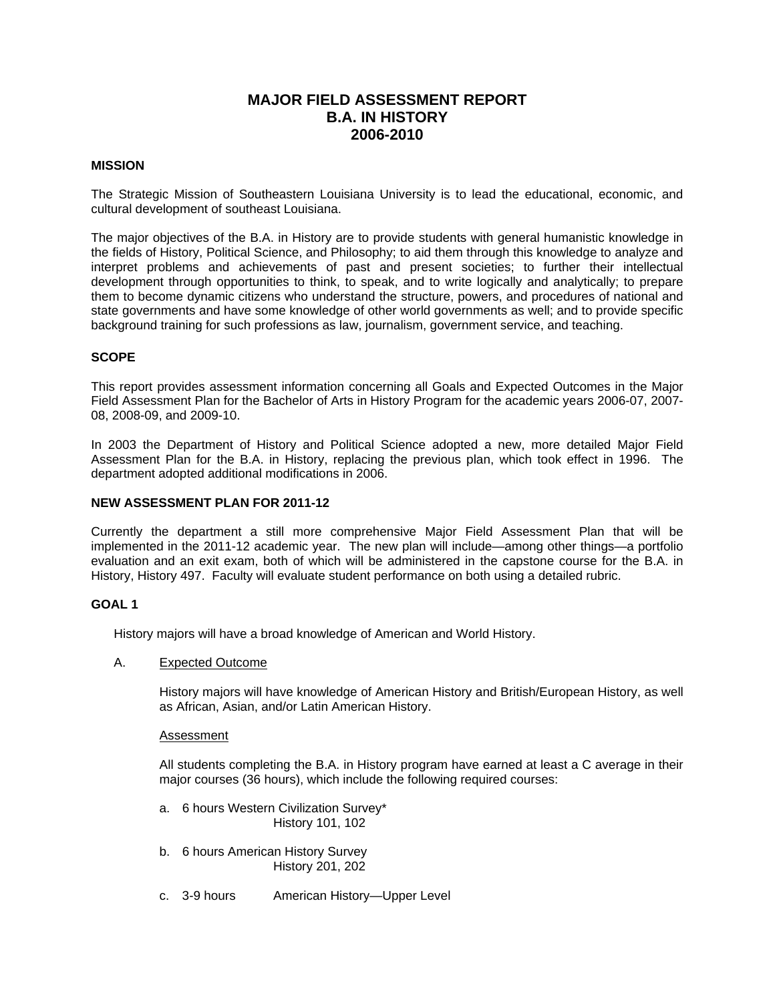# **MAJOR FIELD ASSESSMENT REPORT B.A. IN HISTORY 2006-2010**

## **MISSION**

The Strategic Mission of Southeastern Louisiana University is to lead the educational, economic, and cultural development of southeast Louisiana.

The major objectives of the B.A. in History are to provide students with general humanistic knowledge in the fields of History, Political Science, and Philosophy; to aid them through this knowledge to analyze and interpret problems and achievements of past and present societies; to further their intellectual development through opportunities to think, to speak, and to write logically and analytically; to prepare them to become dynamic citizens who understand the structure, powers, and procedures of national and state governments and have some knowledge of other world governments as well; and to provide specific background training for such professions as law, journalism, government service, and teaching.

## **SCOPE**

This report provides assessment information concerning all Goals and Expected Outcomes in the Major Field Assessment Plan for the Bachelor of Arts in History Program for the academic years 2006-07, 2007- 08, 2008-09, and 2009-10.

In 2003 the Department of History and Political Science adopted a new, more detailed Major Field Assessment Plan for the B.A. in History, replacing the previous plan, which took effect in 1996. The department adopted additional modifications in 2006.

## **NEW ASSESSMENT PLAN FOR 2011-12**

Currently the department a still more comprehensive Major Field Assessment Plan that will be implemented in the 2011-12 academic year. The new plan will include—among other things—a portfolio evaluation and an exit exam, both of which will be administered in the capstone course for the B.A. in History, History 497. Faculty will evaluate student performance on both using a detailed rubric.

## **GOAL 1**

History majors will have a broad knowledge of American and World History.

#### A. Expected Outcome

History majors will have knowledge of American History and British/European History, as well as African, Asian, and/or Latin American History.

#### Assessment

All students completing the B.A. in History program have earned at least a C average in their major courses (36 hours), which include the following required courses:

- a. 6 hours Western Civilization Survey\* History 101, 102
- b. 6 hours American History Survey History 201, 202
- c. 3-9 hours American History—Upper Level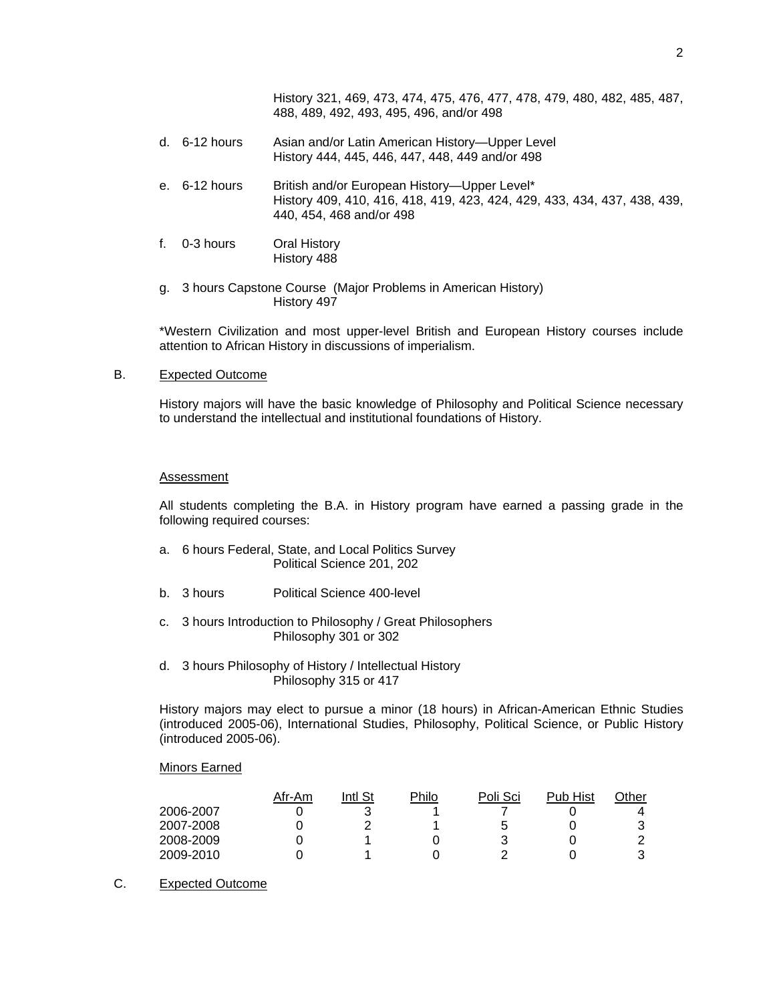History 321, 469, 473, 474, 475, 476, 477, 478, 479, 480, 482, 485, 487, 488, 489, 492, 493, 495, 496, and/or 498

- d. 6-12 hours Asian and/or Latin American History—Upper Level History 444, 445, 446, 447, 448, 449 and/or 498
- e. 6-12 hours British and/or European History—Upper Level\* History 409, 410, 416, 418, 419, 423, 424, 429, 433, 434, 437, 438, 439, 440, 454, 468 and/or 498
- f. 0-3 hours Oral History History 488
- g. 3 hours Capstone Course (Major Problems in American History) History 497

\*Western Civilization and most upper-level British and European History courses include attention to African History in discussions of imperialism.

## B. Expected Outcome

History majors will have the basic knowledge of Philosophy and Political Science necessary to understand the intellectual and institutional foundations of History.

#### Assessment

All students completing the B.A. in History program have earned a passing grade in the following required courses:

- a. 6 hours Federal, State, and Local Politics Survey Political Science 201, 202
- b. 3 hours Political Science 400-level
- c. 3 hours Introduction to Philosophy / Great Philosophers Philosophy 301 or 302
- d. 3 hours Philosophy of History / Intellectual History Philosophy 315 or 417

History majors may elect to pursue a minor (18 hours) in African-American Ethnic Studies (introduced 2005-06), International Studies, Philosophy, Political Science, or Public History (introduced 2005-06).

#### Minors Earned

|           | Afr-Am | Intl St | Philo | Poli Sci | <b>Pub Hist</b> | $\gamma$ ther |
|-----------|--------|---------|-------|----------|-----------------|---------------|
| 2006-2007 |        |         |       |          |                 |               |
| 2007-2008 |        |         |       |          |                 |               |
| 2008-2009 |        |         |       |          |                 |               |
| 2009-2010 |        |         |       |          |                 |               |

C. Expected Outcome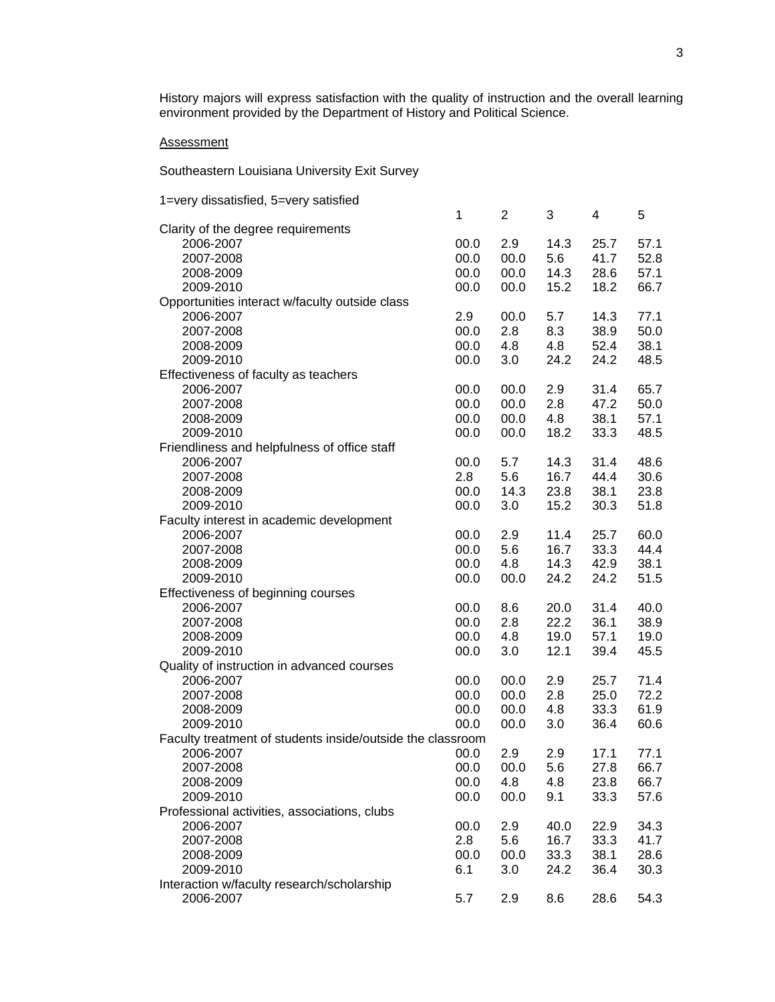History majors will express satisfaction with the quality of instruction and the overall learning environment provided by the Department of History and Political Science.

## **Assessment**

Southeastern Louisiana University Exit Survey

| 1=very dissatisfied, 5=very satisfied                      |      |      |              |      |      |
|------------------------------------------------------------|------|------|--------------|------|------|
|                                                            | 1    | 2    | 3            | 4    | 5    |
| Clarity of the degree requirements                         |      |      |              |      |      |
| 2006-2007                                                  | 00.0 | 2.9  | 14.3         | 25.7 | 57.1 |
| 2007-2008                                                  | 00.0 | 00.0 | 5.6          | 41.7 | 52.8 |
| 2008-2009                                                  | 00.0 | 00.0 | 14.3         | 28.6 | 57.1 |
| 2009-2010                                                  | 00.0 | 00.0 | 15.2         | 18.2 | 66.7 |
| Opportunities interact w/faculty outside class             |      |      |              |      |      |
| 2006-2007                                                  | 2.9  | 00.0 | 5.7          | 14.3 | 77.1 |
| 2007-2008                                                  | 00.0 | 2.8  | 8.3          | 38.9 | 50.0 |
| 2008-2009                                                  | 00.0 | 4.8  | 4.8          | 52.4 | 38.1 |
| 2009-2010                                                  | 00.0 | 3.0  | 24.2         | 24.2 | 48.5 |
| Effectiveness of faculty as teachers                       |      |      |              |      |      |
| 2006-2007                                                  | 00.0 | 00.0 | 2.9          | 31.4 | 65.7 |
| 2007-2008                                                  | 00.0 | 00.0 | 2.8          | 47.2 | 50.0 |
| 2008-2009                                                  | 00.0 | 00.0 | 4.8          | 38.1 | 57.1 |
| 2009-2010                                                  | 00.0 | 00.0 | 18.2         | 33.3 | 48.5 |
| Friendliness and helpfulness of office staff               |      |      |              |      |      |
| 2006-2007                                                  | 00.0 | 5.7  | 14.3         | 31.4 | 48.6 |
| 2007-2008                                                  | 2.8  | 5.6  | 16.7         | 44.4 | 30.6 |
| 2008-2009                                                  | 00.0 | 14.3 | 23.8         | 38.1 | 23.8 |
| 2009-2010                                                  | 00.0 | 3.0  | 15.2         | 30.3 | 51.8 |
|                                                            |      |      |              |      |      |
| Faculty interest in academic development                   |      | 2.9  | 11.4         | 25.7 | 60.0 |
| 2006-2007                                                  | 00.0 | 5.6  |              | 33.3 | 44.4 |
| 2007-2008                                                  | 00.0 | 4.8  | 16.7<br>14.3 |      |      |
| 2008-2009                                                  | 00.0 |      |              | 42.9 | 38.1 |
| 2009-2010                                                  | 00.0 | 00.0 | 24.2         | 24.2 | 51.5 |
| Effectiveness of beginning courses                         |      |      |              |      |      |
| 2006-2007                                                  | 00.0 | 8.6  | 20.0         | 31.4 | 40.0 |
| 2007-2008                                                  | 00.0 | 2.8  | 22.2         | 36.1 | 38.9 |
| 2008-2009                                                  | 00.0 | 4.8  | 19.0         | 57.1 | 19.0 |
| 2009-2010                                                  | 00.0 | 3.0  | 12.1         | 39.4 | 45.5 |
| Quality of instruction in advanced courses                 |      |      |              |      |      |
| 2006-2007                                                  | 00.0 | 00.0 | 2.9          | 25.7 | 71.4 |
| 2007-2008                                                  | 00.0 | 00.0 | 2.8          | 25.0 | 72.2 |
| 2008-2009                                                  | 00.0 | 00.0 | 4.8          | 33.3 | 61.9 |
| 2009-2010                                                  | 00.0 | 00.0 | 3.0          | 36.4 | 60.6 |
| Faculty treatment of students inside/outside the classroom |      |      |              |      |      |
| 2006-2007                                                  | 00.0 | 2.9  | 2.9          | 17.1 | 77.1 |
| 2007-2008                                                  | 00.0 | 00.0 | 5.6          | 27.8 | 66.7 |
| 2008-2009                                                  | 00.0 | 4.8  | 4.8          | 23.8 | 66.7 |
| 2009-2010                                                  | 00.0 | 00.0 | 9.1          | 33.3 | 57.6 |
| Professional activities, associations, clubs               |      |      |              |      |      |
| 2006-2007                                                  | 00.0 | 2.9  | 40.0         | 22.9 | 34.3 |
| 2007-2008                                                  | 2.8  | 5.6  | 16.7         | 33.3 | 41.7 |
| 2008-2009                                                  | 00.0 | 00.0 | 33.3         | 38.1 | 28.6 |
| 2009-2010                                                  | 6.1  | 3.0  | 24.2         | 36.4 | 30.3 |
| Interaction w/faculty research/scholarship                 |      |      |              |      |      |
| 2006-2007                                                  | 5.7  | 2.9  | 8.6          | 28.6 | 54.3 |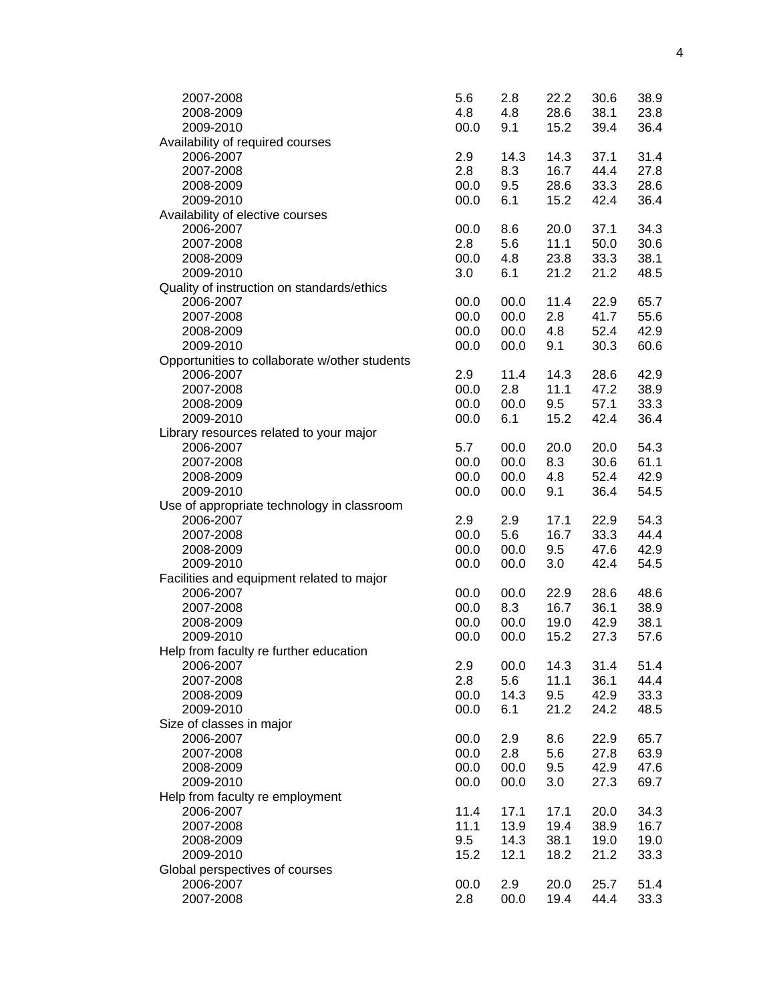| 2007-2008                                     | 5.6  | 2.8  | 22.2 | 30.6 | 38.9 |
|-----------------------------------------------|------|------|------|------|------|
| 2008-2009                                     | 4.8  | 4.8  | 28.6 | 38.1 | 23.8 |
| 2009-2010                                     | 00.0 | 9.1  | 15.2 | 39.4 | 36.4 |
| Availability of required courses              |      |      |      |      |      |
| 2006-2007                                     | 2.9  | 14.3 | 14.3 | 37.1 | 31.4 |
| 2007-2008                                     | 2.8  | 8.3  | 16.7 | 44.4 | 27.8 |
| 2008-2009                                     | 00.0 | 9.5  | 28.6 | 33.3 | 28.6 |
| 2009-2010                                     | 00.0 | 6.1  | 15.2 | 42.4 | 36.4 |
| Availability of elective courses              |      |      |      |      |      |
| 2006-2007                                     | 00.0 | 8.6  | 20.0 | 37.1 | 34.3 |
| 2007-2008                                     | 2.8  | 5.6  | 11.1 | 50.0 | 30.6 |
| 2008-2009                                     | 00.0 | 4.8  | 23.8 | 33.3 | 38.1 |
| 2009-2010                                     | 3.0  | 6.1  | 21.2 | 21.2 | 48.5 |
| Quality of instruction on standards/ethics    |      |      |      |      |      |
| 2006-2007                                     | 00.0 | 00.0 | 11.4 | 22.9 | 65.7 |
| 2007-2008                                     | 00.0 | 00.0 | 2.8  | 41.7 | 55.6 |
| 2008-2009                                     | 00.0 | 00.0 | 4.8  | 52.4 | 42.9 |
| 2009-2010                                     | 00.0 | 00.0 | 9.1  | 30.3 | 60.6 |
|                                               |      |      |      |      |      |
| Opportunities to collaborate w/other students |      | 11.4 |      | 28.6 |      |
| 2006-2007                                     | 2.9  |      | 14.3 |      | 42.9 |
| 2007-2008                                     | 00.0 | 2.8  | 11.1 | 47.2 | 38.9 |
| 2008-2009                                     | 00.0 | 00.0 | 9.5  | 57.1 | 33.3 |
| 2009-2010                                     | 00.0 | 6.1  | 15.2 | 42.4 | 36.4 |
| Library resources related to your major       |      |      |      |      |      |
| 2006-2007                                     | 5.7  | 00.0 | 20.0 | 20.0 | 54.3 |
| 2007-2008                                     | 00.0 | 00.0 | 8.3  | 30.6 | 61.1 |
| 2008-2009                                     | 00.0 | 00.0 | 4.8  | 52.4 | 42.9 |
| 2009-2010                                     | 00.0 | 00.0 | 9.1  | 36.4 | 54.5 |
| Use of appropriate technology in classroom    |      |      |      |      |      |
| 2006-2007                                     | 2.9  | 2.9  | 17.1 | 22.9 | 54.3 |
| 2007-2008                                     | 00.0 | 5.6  | 16.7 | 33.3 | 44.4 |
| 2008-2009                                     | 00.0 | 00.0 | 9.5  | 47.6 | 42.9 |
| 2009-2010                                     | 00.0 | 00.0 | 3.0  | 42.4 | 54.5 |
| Facilities and equipment related to major     |      |      |      |      |      |
| 2006-2007                                     | 00.0 | 00.0 | 22.9 | 28.6 | 48.6 |
| 2007-2008                                     | 00.0 | 8.3  | 16.7 | 36.1 | 38.9 |
| 2008-2009                                     | 00.0 | 00.0 | 19.0 | 42.9 | 38.1 |
| 2009-2010                                     | 00.0 | 00.0 | 15.2 | 27.3 | 57.6 |
| Help from faculty re further education        |      |      |      |      |      |
| 2006-2007                                     | 2.9  | 00.0 | 14.3 | 31.4 | 51.4 |
| 2007-2008                                     | 2.8  | 5.6  | 11.1 | 36.1 | 44.4 |
| 2008-2009                                     | 00.0 | 14.3 | 9.5  | 42.9 | 33.3 |
| 2009-2010                                     | 00.0 | 6.1  | 21.2 | 24.2 | 48.5 |
| Size of classes in major                      |      |      |      |      |      |
| 2006-2007                                     | 00.0 | 2.9  | 8.6  | 22.9 | 65.7 |
| 2007-2008                                     | 00.0 | 2.8  | 5.6  | 27.8 | 63.9 |
| 2008-2009                                     | 00.0 | 00.0 | 9.5  | 42.9 | 47.6 |
| 2009-2010                                     | 00.0 | 00.0 | 3.0  | 27.3 | 69.7 |
| Help from faculty re employment               |      |      |      |      |      |
| 2006-2007                                     | 11.4 | 17.1 | 17.1 | 20.0 | 34.3 |
| 2007-2008                                     | 11.1 | 13.9 | 19.4 | 38.9 | 16.7 |
| 2008-2009                                     | 9.5  | 14.3 | 38.1 | 19.0 | 19.0 |
| 2009-2010                                     | 15.2 | 12.1 | 18.2 | 21.2 | 33.3 |
| Global perspectives of courses                |      |      |      |      |      |
| 2006-2007                                     | 00.0 | 2.9  | 20.0 | 25.7 | 51.4 |
| 2007-2008                                     | 2.8  | 00.0 | 19.4 | 44.4 | 33.3 |
|                                               |      |      |      |      |      |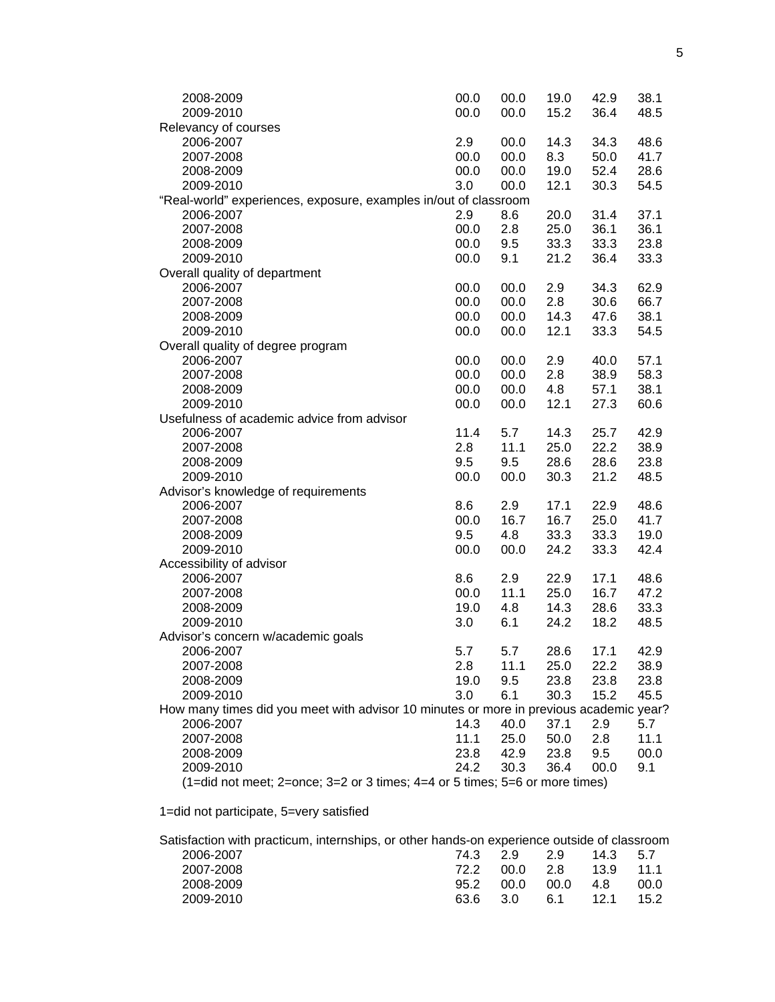| 2008-2009                                                                              | 00.0 | 00.0 | 19.0 | 42.9 | 38.1 |
|----------------------------------------------------------------------------------------|------|------|------|------|------|
| 2009-2010                                                                              | 00.0 | 00.0 | 15.2 | 36.4 | 48.5 |
| Relevancy of courses                                                                   |      |      |      |      |      |
| 2006-2007                                                                              | 2.9  | 00.0 | 14.3 | 34.3 | 48.6 |
| 2007-2008                                                                              | 00.0 | 00.0 | 8.3  | 50.0 | 41.7 |
| 2008-2009                                                                              | 00.0 | 00.0 | 19.0 | 52.4 | 28.6 |
| 2009-2010                                                                              | 3.0  | 00.0 | 12.1 | 30.3 | 54.5 |
| "Real-world" experiences, exposure, examples in/out of classroom                       |      |      |      |      |      |
| 2006-2007                                                                              | 2.9  | 8.6  | 20.0 | 31.4 | 37.1 |
| 2007-2008                                                                              | 00.0 | 2.8  | 25.0 | 36.1 | 36.1 |
| 2008-2009                                                                              | 00.0 | 9.5  | 33.3 | 33.3 | 23.8 |
| 2009-2010                                                                              | 00.0 | 9.1  | 21.2 | 36.4 | 33.3 |
| Overall quality of department                                                          |      |      |      |      |      |
| 2006-2007                                                                              | 00.0 | 00.0 | 2.9  | 34.3 | 62.9 |
| 2007-2008                                                                              | 00.0 | 00.0 | 2.8  | 30.6 | 66.7 |
| 2008-2009                                                                              | 00.0 | 00.0 | 14.3 | 47.6 | 38.1 |
| 2009-2010                                                                              | 00.0 | 00.0 | 12.1 | 33.3 | 54.5 |
| Overall quality of degree program                                                      |      |      |      |      |      |
| 2006-2007                                                                              | 00.0 | 00.0 | 2.9  | 40.0 | 57.1 |
| 2007-2008                                                                              | 00.0 | 00.0 | 2.8  | 38.9 | 58.3 |
| 2008-2009                                                                              | 00.0 | 00.0 | 4.8  | 57.1 | 38.1 |
| 2009-2010                                                                              | 00.0 | 00.0 | 12.1 | 27.3 | 60.6 |
| Usefulness of academic advice from advisor                                             |      |      |      |      |      |
| 2006-2007                                                                              | 11.4 | 5.7  | 14.3 | 25.7 | 42.9 |
| 2007-2008                                                                              | 2.8  | 11.1 | 25.0 | 22.2 | 38.9 |
| 2008-2009                                                                              | 9.5  | 9.5  | 28.6 | 28.6 | 23.8 |
| 2009-2010                                                                              | 00.0 | 00.0 | 30.3 | 21.2 | 48.5 |
| Advisor's knowledge of requirements                                                    |      |      |      |      |      |
| 2006-2007                                                                              | 8.6  | 2.9  | 17.1 | 22.9 | 48.6 |
| 2007-2008                                                                              | 00.0 | 16.7 | 16.7 | 25.0 | 41.7 |
| 2008-2009                                                                              | 9.5  | 4.8  | 33.3 | 33.3 | 19.0 |
| 2009-2010                                                                              | 00.0 | 00.0 | 24.2 | 33.3 | 42.4 |
| Accessibility of advisor                                                               |      |      |      |      |      |
| 2006-2007                                                                              | 8.6  | 2.9  | 22.9 | 17.1 | 48.6 |
| 2007-2008                                                                              | 00.0 | 11.1 | 25.0 | 16.7 | 47.2 |
| 2008-2009                                                                              | 19.0 | 4.8  | 14.3 | 28.6 | 33.3 |
| 2009-2010                                                                              | 3.0  | 6.1  | 24.2 | 18.2 | 48.5 |
| Advisor's concern w/academic goals                                                     |      |      |      |      |      |
| 2006-2007                                                                              | 5.7  | 5.7  | 28.6 | 17.1 | 42.9 |
| 2007-2008                                                                              | 2.8  | 11.1 | 25.0 | 22.2 | 38.9 |
| 2008-2009                                                                              | 19.0 | 9.5  | 23.8 | 23.8 | 23.8 |
| 2009-2010                                                                              | 3.0  | 6.1  | 30.3 | 15.2 | 45.5 |
| How many times did you meet with advisor 10 minutes or more in previous academic year? |      |      |      |      |      |
| 2006-2007                                                                              | 14.3 | 40.0 | 37.1 | 2.9  | 5.7  |
| 2007-2008                                                                              | 11.1 | 25.0 | 50.0 | 2.8  | 11.1 |
| 2008-2009                                                                              | 23.8 | 42.9 | 23.8 | 9.5  | 00.0 |
| 2009-2010                                                                              | 24.2 | 30.3 | 36.4 | 00.0 | 9.1  |
| $(1=$ did not meet; 2=once; 3=2 or 3 times; 4=4 or 5 times; 5=6 or more times)         |      |      |      |      |      |

1=did not participate, 5=very satisfied

|           | Satisfaction with practicum, internships, or other hands-on experience outside of classroom |          |      |           |      |
|-----------|---------------------------------------------------------------------------------------------|----------|------|-----------|------|
| 2006-2007 |                                                                                             | 74.3 2.9 | 2.9  | 14.3 5.7  |      |
| 2007-2008 | 72.2                                                                                        | 00.O     | 2.8  | 13.9 11.1 |      |
| 2008-2009 | 952                                                                                         | 00.0     | 00.0 | - 4.8     | 00.0 |
| 2009-2010 | 63.6                                                                                        | 3.0      | 6.1  | 12.1      | 15.2 |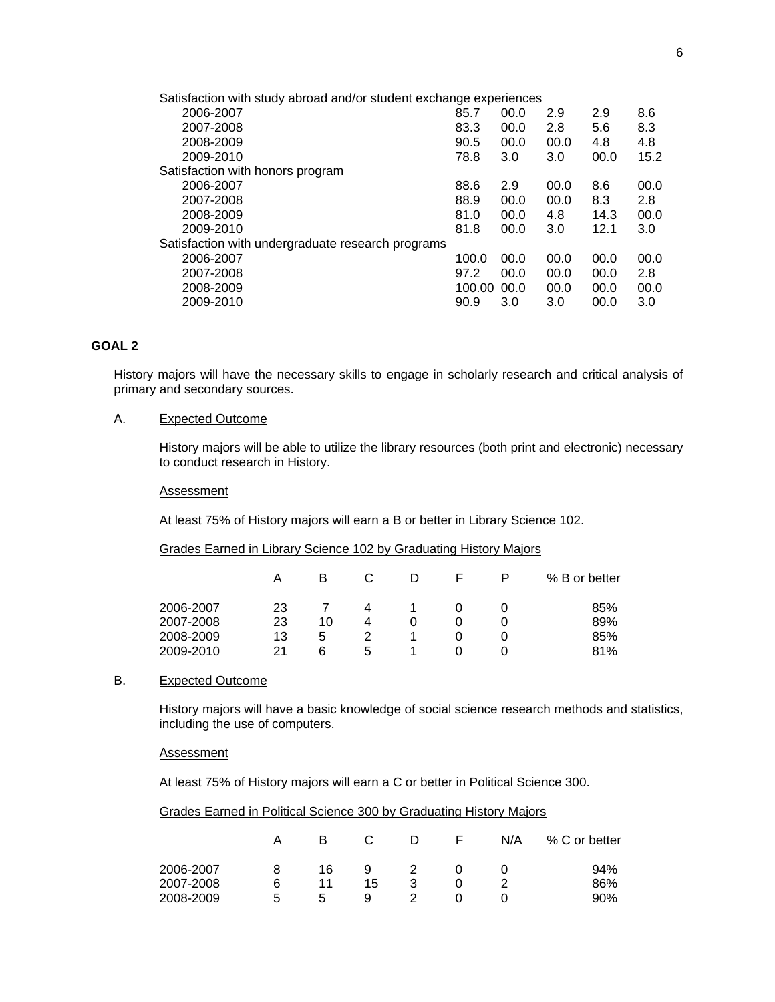| Satisfaction with study abroad and/or student exchange experiences |
|--------------------------------------------------------------------|
|--------------------------------------------------------------------|

| 2006-2007                                         | 85.7   | 00.0 | 2.9  | 2.9  | 8.6  |
|---------------------------------------------------|--------|------|------|------|------|
| 2007-2008                                         | 83.3   | 00.0 | 2.8  | 5.6  | 8.3  |
| 2008-2009                                         | 90.5   | 00.0 | 00.0 | 4.8  | 4.8  |
| 2009-2010                                         | 78.8   | 3.0  | 3.0  | 00.0 | 15.2 |
| Satisfaction with honors program                  |        |      |      |      |      |
| 2006-2007                                         | 88.6   | 2.9  | 00.0 | 8.6  | 00.0 |
| 2007-2008                                         | 88.9   | 00.0 | 00.0 | 8.3  | 2.8  |
| 2008-2009                                         | 81.0   | 00.0 | 4.8  | 14.3 | 00.0 |
| 2009-2010                                         | 81.8   | 00.0 | 3.0  | 12.1 | 3.0  |
| Satisfaction with undergraduate research programs |        |      |      |      |      |
| 2006-2007                                         | 100.0  | 00.0 | 00.0 | 00.0 | 00.0 |
| 2007-2008                                         | 97.2   | 00.0 | 00.0 | 00.0 | 2.8  |
| 2008-2009                                         | 100.00 | 00.0 | 00.0 | 00.0 | 00.0 |
| 2009-2010                                         | 90.9   | 3.0  | 3.0  | 00.0 | 3.0  |
|                                                   |        |      |      |      |      |

## **GOAL 2**

History majors will have the necessary skills to engage in scholarly research and critical analysis of primary and secondary sources.

## A. Expected Outcome

History majors will be able to utilize the library resources (both print and electronic) necessary to conduct research in History.

### **Assessment**

At least 75% of History majors will earn a B or better in Library Science 102.

## Grades Earned in Library Science 102 by Graduating History Majors

|           | Α  | в  |   |          | % B or better |
|-----------|----|----|---|----------|---------------|
| 2006-2007 | 23 |    | 4 |          | 85%           |
| 2007-2008 | 23 | 10 |   |          | 89%           |
| 2008-2009 | 13 | 5  | 2 |          | 85%           |
| 2009-2010 | 21 | 6  | 5 | $\Omega$ | 81%           |
|           |    |    |   |          |               |

## B. Expected Outcome

History majors will have a basic knowledge of social science research methods and statistics, including the use of computers.

#### **Assessment**

At least 75% of History majors will earn a C or better in Political Science 300.

#### Grades Earned in Political Science 300 by Graduating History Majors

|           | Α | в  |    |  | N/A | % C or better |
|-----------|---|----|----|--|-----|---------------|
| 2006-2007 |   | 16 | 9  |  |     | 94%           |
| 2007-2008 | 6 |    | 15 |  |     | 86%           |
| 2008-2009 | 5 | b  | 9  |  |     | 90%           |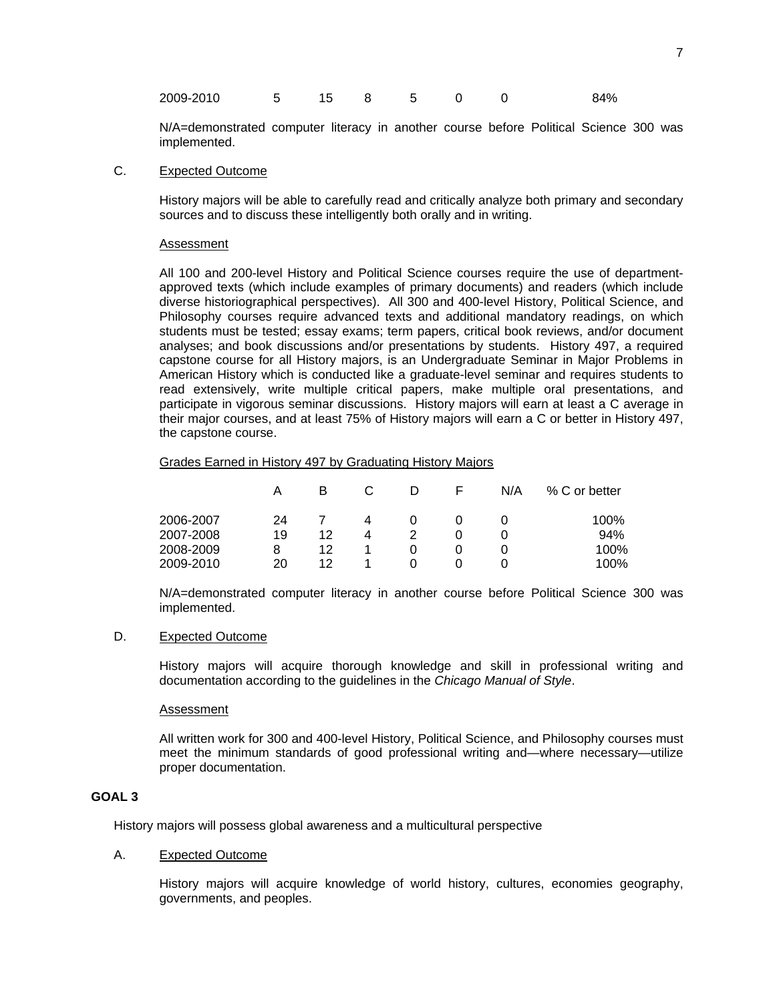| 2009-2010 |  |  |  | 84% |
|-----------|--|--|--|-----|
|           |  |  |  |     |

N/A=demonstrated computer literacy in another course before Political Science 300 was implemented.

#### C. Expected Outcome

History majors will be able to carefully read and critically analyze both primary and secondary sources and to discuss these intelligently both orally and in writing.

#### Assessment

All 100 and 200-level History and Political Science courses require the use of departmentapproved texts (which include examples of primary documents) and readers (which include diverse historiographical perspectives). All 300 and 400-level History, Political Science, and Philosophy courses require advanced texts and additional mandatory readings, on which students must be tested; essay exams; term papers, critical book reviews, and/or document analyses; and book discussions and/or presentations by students. History 497, a required capstone course for all History majors, is an Undergraduate Seminar in Major Problems in American History which is conducted like a graduate-level seminar and requires students to read extensively, write multiple critical papers, make multiple oral presentations, and participate in vigorous seminar discussions. History majors will earn at least a C average in their major courses, and at least 75% of History majors will earn a C or better in History 497, the capstone course.

## Grades Earned in History 497 by Graduating History Majors

|           | A  | в  |   |          | н.         | N/A | % C or better |
|-----------|----|----|---|----------|------------|-----|---------------|
| 2006-2007 | 24 |    | 4 | O        |            |     | 100%          |
| 2007-2008 | 19 | 12 | 4 |          |            |     | 94%           |
| 2008-2009 | 8  | 12 |   |          |            |     | 100%          |
| 2009-2010 | 20 | 12 |   | $\Omega$ | $^{\circ}$ |     | 100%          |

N/A=demonstrated computer literacy in another course before Political Science 300 was implemented.

## D. Expected Outcome

History majors will acquire thorough knowledge and skill in professional writing and documentation according to the guidelines in the *Chicago Manual of Style*.

#### **Assessment**

All written work for 300 and 400-level History, Political Science, and Philosophy courses must meet the minimum standards of good professional writing and—where necessary—utilize proper documentation.

## **GOAL 3**

History majors will possess global awareness and a multicultural perspective

#### A. Expected Outcome

History majors will acquire knowledge of world history, cultures, economies geography, governments, and peoples.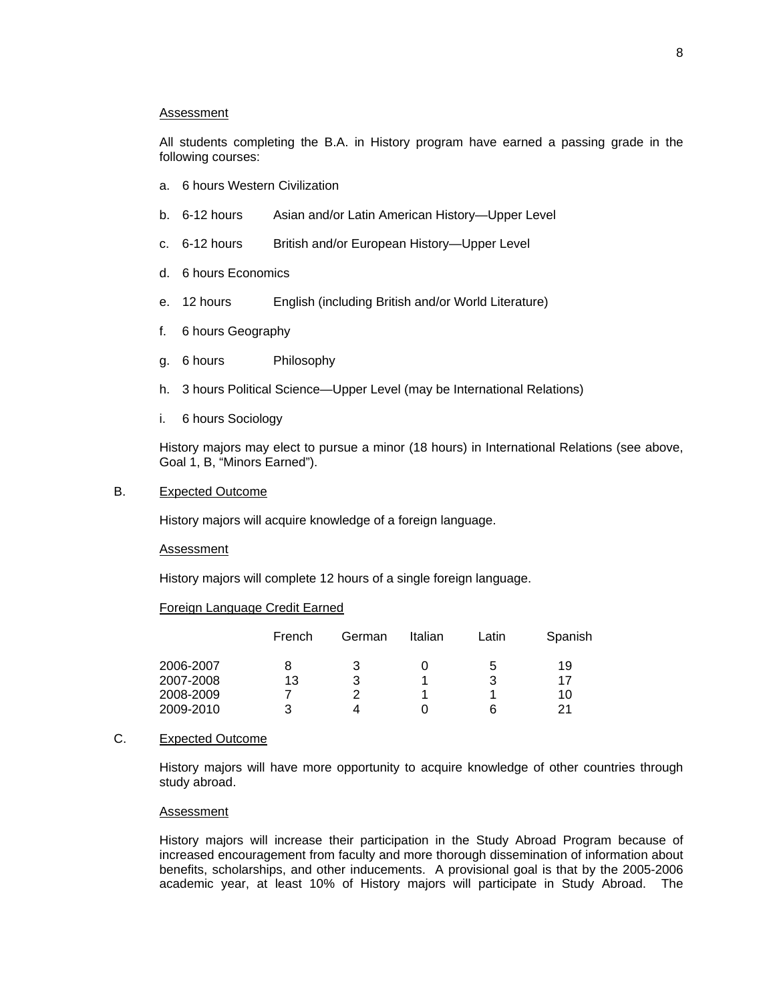#### Assessment

All students completing the B.A. in History program have earned a passing grade in the following courses:

- a. 6 hours Western Civilization
- b. 6-12 hours Asian and/or Latin American History-Upper Level
- c. 6-12 hours British and/or European History—Upper Level
- d. 6 hours Economics
- e. 12 hours English (including British and/or World Literature)
- f. 6 hours Geography
- g. 6 hours Philosophy
- h. 3 hours Political Science—Upper Level (may be International Relations)
- i. 6 hours Sociology

History majors may elect to pursue a minor (18 hours) in International Relations (see above, Goal 1, B, "Minors Earned").

### B. Expected Outcome

History majors will acquire knowledge of a foreign language.

#### Assessment

History majors will complete 12 hours of a single foreign language.

#### Foreign Language Credit Earned

|           | French | German | Italian | Latin | Spanish |
|-----------|--------|--------|---------|-------|---------|
| 2006-2007 | 8      | З      |         | b     | 19      |
| 2007-2008 | 13     | 3      |         |       | 17      |
| 2008-2009 |        | 2      |         |       | 10      |
| 2009-2010 |        |        |         | h     | 21      |

## C. Expected Outcome

History majors will have more opportunity to acquire knowledge of other countries through study abroad.

#### Assessment

History majors will increase their participation in the Study Abroad Program because of increased encouragement from faculty and more thorough dissemination of information about benefits, scholarships, and other inducements. A provisional goal is that by the 2005-2006 academic year, at least 10% of History majors will participate in Study Abroad. The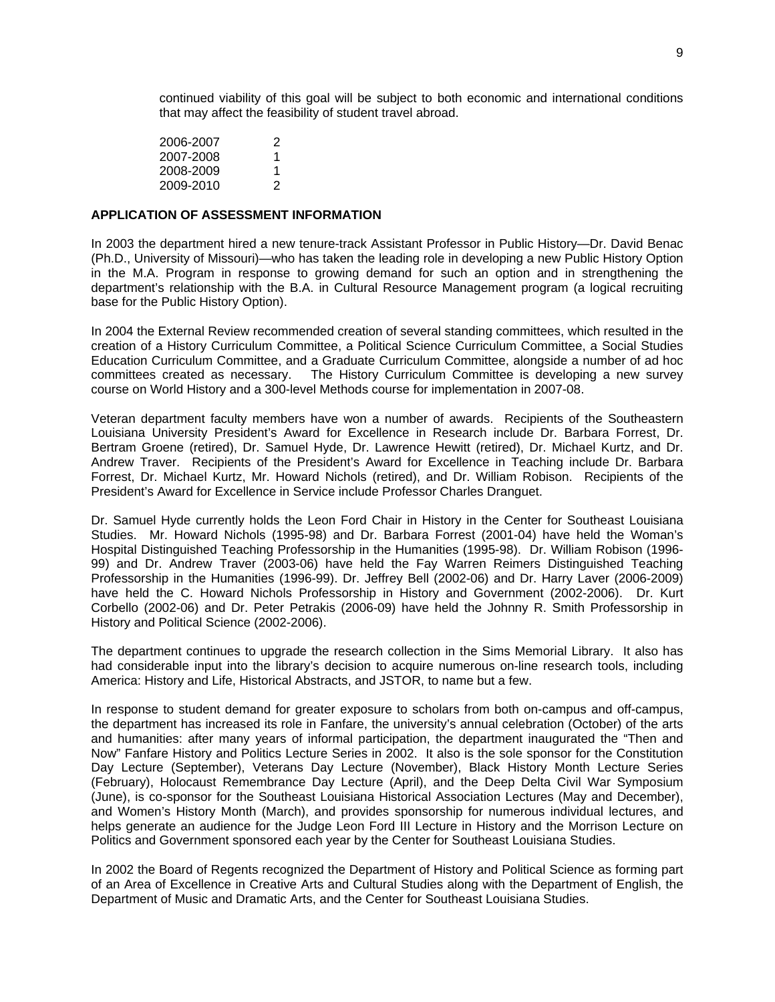continued viability of this goal will be subject to both economic and international conditions that may affect the feasibility of student travel abroad.

2006-2007 2 2007-2008 1 2008-2009 1 2009-2010 2

#### **APPLICATION OF ASSESSMENT INFORMATION**

In 2003 the department hired a new tenure-track Assistant Professor in Public History—Dr. David Benac (Ph.D., University of Missouri)—who has taken the leading role in developing a new Public History Option in the M.A. Program in response to growing demand for such an option and in strengthening the department's relationship with the B.A. in Cultural Resource Management program (a logical recruiting base for the Public History Option).

In 2004 the External Review recommended creation of several standing committees, which resulted in the creation of a History Curriculum Committee, a Political Science Curriculum Committee, a Social Studies Education Curriculum Committee, and a Graduate Curriculum Committee, alongside a number of ad hoc committees created as necessary. The History Curriculum Committee is developing a new survey course on World History and a 300-level Methods course for implementation in 2007-08.

Veteran department faculty members have won a number of awards. Recipients of the Southeastern Louisiana University President's Award for Excellence in Research include Dr. Barbara Forrest, Dr. Bertram Groene (retired), Dr. Samuel Hyde, Dr. Lawrence Hewitt (retired), Dr. Michael Kurtz, and Dr. Andrew Traver. Recipients of the President's Award for Excellence in Teaching include Dr. Barbara Forrest, Dr. Michael Kurtz, Mr. Howard Nichols (retired), and Dr. William Robison. Recipients of the President's Award for Excellence in Service include Professor Charles Dranguet.

Dr. Samuel Hyde currently holds the Leon Ford Chair in History in the Center for Southeast Louisiana Studies. Mr. Howard Nichols (1995-98) and Dr. Barbara Forrest (2001-04) have held the Woman's Hospital Distinguished Teaching Professorship in the Humanities (1995-98). Dr. William Robison (1996- 99) and Dr. Andrew Traver (2003-06) have held the Fay Warren Reimers Distinguished Teaching Professorship in the Humanities (1996-99). Dr. Jeffrey Bell (2002-06) and Dr. Harry Laver (2006-2009) have held the C. Howard Nichols Professorship in History and Government (2002-2006). Dr. Kurt Corbello (2002-06) and Dr. Peter Petrakis (2006-09) have held the Johnny R. Smith Professorship in History and Political Science (2002-2006).

The department continues to upgrade the research collection in the Sims Memorial Library. It also has had considerable input into the library's decision to acquire numerous on-line research tools, including America: History and Life, Historical Abstracts, and JSTOR, to name but a few.

In response to student demand for greater exposure to scholars from both on-campus and off-campus, the department has increased its role in Fanfare, the university's annual celebration (October) of the arts and humanities: after many years of informal participation, the department inaugurated the "Then and Now" Fanfare History and Politics Lecture Series in 2002. It also is the sole sponsor for the Constitution Day Lecture (September), Veterans Day Lecture (November), Black History Month Lecture Series (February), Holocaust Remembrance Day Lecture (April), and the Deep Delta Civil War Symposium (June), is co-sponsor for the Southeast Louisiana Historical Association Lectures (May and December), and Women's History Month (March), and provides sponsorship for numerous individual lectures, and helps generate an audience for the Judge Leon Ford III Lecture in History and the Morrison Lecture on Politics and Government sponsored each year by the Center for Southeast Louisiana Studies.

In 2002 the Board of Regents recognized the Department of History and Political Science as forming part of an Area of Excellence in Creative Arts and Cultural Studies along with the Department of English, the Department of Music and Dramatic Arts, and the Center for Southeast Louisiana Studies.